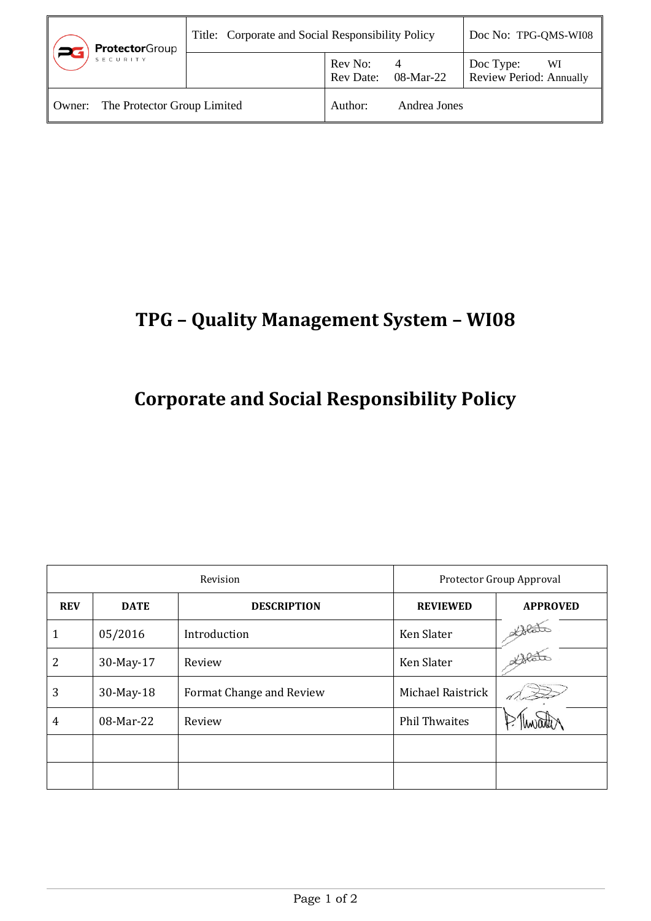| <b>Protector</b> Group                | Title: Corporate and Social Responsibility Policy |                             |              | Doc No: TPG-QMS-WI08                              |
|---------------------------------------|---------------------------------------------------|-----------------------------|--------------|---------------------------------------------------|
| SECURITY                              |                                                   | Rev No:<br><b>Rev Date:</b> | 08-Mar-22    | Doc Type:<br>WI<br><b>Review Period: Annually</b> |
| The Protector Group Limited<br>Owner: |                                                   | Author:                     | Andrea Jones |                                                   |

## **TPG – Quality Management System – WI08**

## **Corporate and Social Responsibility Policy**

| Revision   |             | Protector Group Approval |                      |                 |
|------------|-------------|--------------------------|----------------------|-----------------|
| <b>REV</b> | <b>DATE</b> | <b>DESCRIPTION</b>       | <b>REVIEWED</b>      | <b>APPROVED</b> |
| 1          | 05/2016     | Introduction             | Ken Slater           | Alata           |
| 2          | 30-May-17   | Review                   | Ken Slater           | Alate           |
| 3          | 30-May-18   | Format Change and Review | Michael Raistrick    |                 |
| 4          | 08-Mar-22   | Review                   | <b>Phil Thwaites</b> |                 |
|            |             |                          |                      |                 |
|            |             |                          |                      |                 |